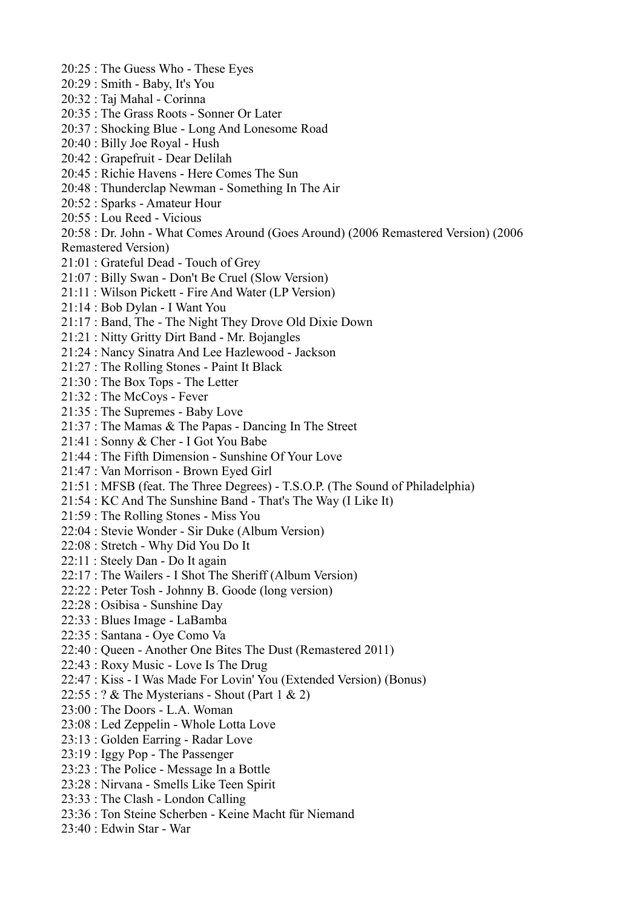- 20:25 : The Guess Who These Eyes
- 20:29 : Smith Baby, It's You
- 20:32 : Taj Mahal Corinna
- 20:35 : The Grass Roots Sonner Or Later
- 20:37 : Shocking Blue Long And Lonesome Road
- 20:40 : Billy Joe Royal Hush
- 20:42 : Grapefruit Dear Delilah
- 20:45 : Richie Havens Here Comes The Sun
- 20:48 : Thunderclap Newman Something In The Air
- 20:52 : Sparks Amateur Hour
- 20:55 : Lou Reed Vicious
- 20:58 : Dr. John What Comes Around (Goes Around) (2006 Remastered Version) (2006 Remastered Version)
- 21:01 : Grateful Dead Touch of Grey
- 21:07 : Billy Swan Don't Be Cruel (Slow Version)
- 21:11 : Wilson Pickett Fire And Water (LP Version)
- 21:14 : Bob Dylan I Want You
- 21:17 : Band, The The Night They Drove Old Dixie Down
- 21:21 : Nitty Gritty Dirt Band Mr. Bojangles
- 21:24 : Nancy Sinatra And Lee Hazlewood Jackson
- 21:27 : The Rolling Stones Paint It Black
- 21:30 : The Box Tops The Letter
- 21:32 : The McCoys Fever
- 21:35 : The Supremes Baby Love
- 21:37 : The Mamas & The Papas Dancing In The Street
- 21:41 : Sonny & Cher I Got You Babe
- 21:44 : The Fifth Dimension Sunshine Of Your Love
- 21:47 : Van Morrison Brown Eyed Girl
- 21:51 : MFSB (feat. The Three Degrees) T.S.O.P. (The Sound of Philadelphia)
- 21:54 : KC And The Sunshine Band That's The Way (I Like It)
- 21:59 : The Rolling Stones Miss You
- 22:04 : Stevie Wonder Sir Duke (Album Version)
- 22:08 : Stretch Why Did You Do It
- 22:11 : Steely Dan Do It again
- 22:17 : The Wailers I Shot The Sheriff (Album Version)
- 22:22 : Peter Tosh Johnny B. Goode (long version)
- 22:28 : Osibisa Sunshine Day
- 22:33 : Blues Image LaBamba
- 22:35 : Santana Oye Como Va
- 22:40 : Queen Another One Bites The Dust (Remastered 2011)
- 22:43 : Roxy Music Love Is The Drug
- 22:47 : Kiss I Was Made For Lovin' You (Extended Version) (Bonus)
- $22:55:? \& The Mysterians Shout (Part 1 \& 2)$
- 23:00 : The Doors L.A. Woman
- 23:08 : Led Zeppelin Whole Lotta Love
- 23:13 : Golden Earring Radar Love
- 23:19 : Iggy Pop The Passenger
- 23:23 : The Police Message In a Bottle
- 23:28 : Nirvana Smells Like Teen Spirit
- 23:33 : The Clash London Calling
- 23:36 : Ton Steine Scherben Keine Macht für Niemand
- 23:40 : Edwin Star War